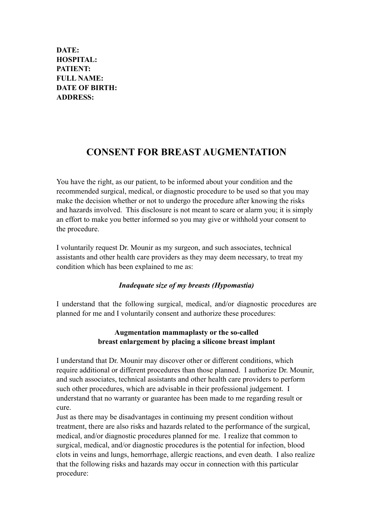**DATE: HOSPITAL: PATIENT: FULL NAME: DATE OF BIRTH: ADDRESS:** 

# **CONSENT FOR BREAST AUGMENTATION**

You have the right, as our patient, to be informed about your condition and the recommended surgical, medical, or diagnostic procedure to be used so that you may make the decision whether or not to undergo the procedure after knowing the risks and hazards involved. This disclosure is not meant to scare or alarm you; it is simply an effort to make you better informed so you may give or withhold your consent to the procedure.

I voluntarily request Dr. Mounir as my surgeon, and such associates, technical assistants and other health care providers as they may deem necessary, to treat my condition which has been explained to me as:

### *Inadequate size of my breasts (Hypomastia)*

I understand that the following surgical, medical, and/or diagnostic procedures are planned for me and I voluntarily consent and authorize these procedures:

### **Augmentation mammaplasty or the so-called breast enlargement by placing a silicone breast implant**

I understand that Dr. Mounir may discover other or different conditions, which require additional or different procedures than those planned. I authorize Dr. Mounir, and such associates, technical assistants and other health care providers to perform such other procedures, which are advisable in their professional judgement. I understand that no warranty or guarantee has been made to me regarding result or cure.

Just as there may be disadvantages in continuing my present condition without treatment, there are also risks and hazards related to the performance of the surgical, medical, and/or diagnostic procedures planned for me. I realize that common to surgical, medical, and/or diagnostic procedures is the potential for infection, blood clots in veins and lungs, hemorrhage, allergic reactions, and even death. I also realize that the following risks and hazards may occur in connection with this particular procedure: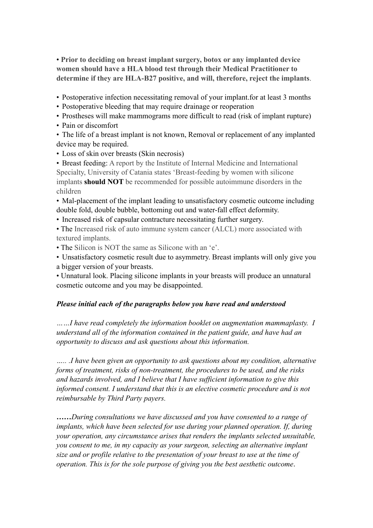• **Prior to deciding on breast implant surgery, botox or any implanted device women should have a HLA blood test through their Medical Practitioner to determine if they are HLA-B27 positive, and will, therefore, reject the implants**.

• Postoperative infection necessitating removal of your implant.for at least 3 months

• Postoperative bleeding that may require drainage or reoperation

• Prostheses will make mammograms more difficult to read (risk of implant rupture)

• Pain or discomfort

• The life of a breast implant is not known, Removal or replacement of any implanted device may be required.

• Loss of skin over breasts (Skin necrosis)

• Breast feeding: A report by the Institute of Internal Medicine and International Specialty, University of Catania states 'Breast-feeding by women with silicone implants **should NOT** be recommended for possible autoimmune disorders in the children

• Mal-placement of the implant leading to unsatisfactory cosmetic outcome including double fold, double bubble, bottoming out and water-fall effect deformity.

• Increased risk of capsular contracture necessitating further surgery.

• The Increased risk of auto immune system cancer (ALCL) more associated with textured implants.

• The Silicon is NOT the same as Silicone with an 'e'.

• Unsatisfactory cosmetic result due to asymmetry. Breast implants will only give you a bigger version of your breasts.

• Unnatural look. Placing silicone implants in your breasts will produce an unnatural cosmetic outcome and you may be disappointed.

### *Please initial each of the paragraphs below you have read and understood*

*……I have read completely the information booklet on augmentation mammaplasty. I understand all of the information contained in the patient guide, and have had an opportunity to discuss and ask questions about this information.* 

*….. .I have been given an opportunity to ask questions about my condition, alternative forms of treatment, risks of non-treatment, the procedures to be used, and the risks and hazards involved, and I believe that I have sufficient information to give this informed consent. I understand that this is an elective cosmetic procedure and is not reimbursable by Third Party payers.* 

*……During consultations we have discussed and you have consented to a range of implants, which have been selected for use during your planned operation. If, during your operation, any circumstance arises that renders the implants selected unsuitable, you consent to me, in my capacity as your surgeon, selecting an alternative implant size and or profile relative to the presentation of your breast to use at the time of operation. This is for the sole purpose of giving you the best aesthetic outcome*.